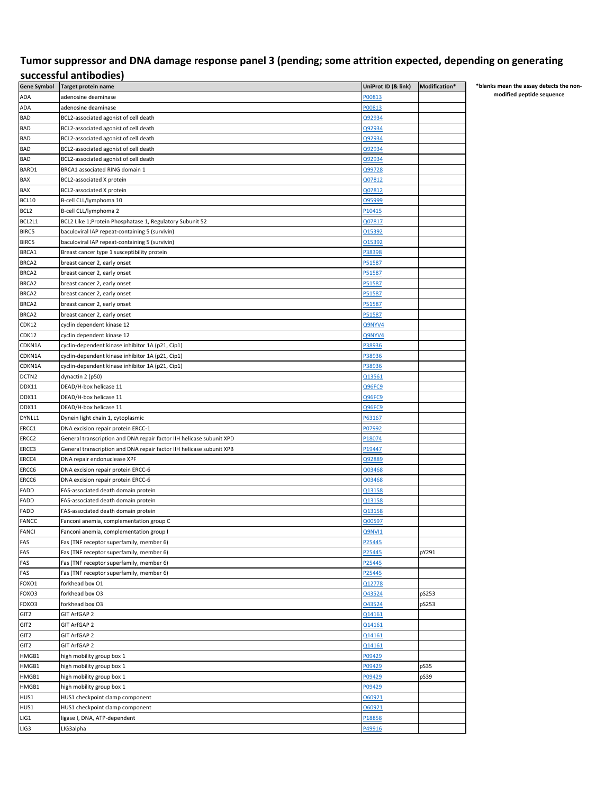## **Tumor suppressor and DNA damage response panel 3 (pending; some attrition expected, depending on generating successful antibodies)**

| Gene Symbol       | Target protein name                                                  | UniProt ID (& link) | Modification* |
|-------------------|----------------------------------------------------------------------|---------------------|---------------|
| ADA               | adenosine deaminase                                                  | P00813              |               |
| ADA               | adenosine deaminase                                                  | P00813              |               |
| <b>BAD</b>        | BCL2-associated agonist of cell death                                | Q92934              |               |
| <b>BAD</b>        | BCL2-associated agonist of cell death                                | Q92934              |               |
| <b>BAD</b>        | BCL2-associated agonist of cell death                                | Q92934              |               |
| <b>BAD</b>        | BCL2-associated agonist of cell death                                | Q92934              |               |
| <b>BAD</b>        | BCL2-associated agonist of cell death                                | Q92934              |               |
| BARD1             | BRCA1 associated RING domain 1                                       | Q99728              |               |
| BAX               | BCL2-associated X protein                                            | Q07812              |               |
| BAX               | BCL2-associated X protein                                            | Q07812              |               |
| BCL10             | B-cell CLL/lymphoma 10                                               | 095999              |               |
| BCL <sub>2</sub>  | B-cell CLL/lymphoma 2                                                | P10415              |               |
| BCL2L1            | BCL2 Like 1;Protein Phosphatase 1, Regulatory Subunit 52             | Q07817              |               |
| BIRC5             | baculoviral IAP repeat-containing 5 (survivin)                       | 015392              |               |
| BIRC5             | baculoviral IAP repeat-containing 5 (survivin)                       | 015392              |               |
| BRCA1             |                                                                      | P38398              |               |
|                   | Breast cancer type 1 susceptibility protein                          |                     |               |
| BRCA2             | breast cancer 2, early onset                                         | P51587              |               |
| BRCA2             | breast cancer 2, early onset                                         | P51587              |               |
| BRCA2             | breast cancer 2, early onset                                         | P51587              |               |
| BRCA2             | breast cancer 2, early onset                                         | P51587              |               |
| BRCA2             | breast cancer 2, early onset                                         | P51587              |               |
| BRCA2             | breast cancer 2, early onset                                         | P51587              |               |
| CDK12             | cyclin dependent kinase 12                                           | Q9NYV4              |               |
| CDK12             | cyclin dependent kinase 12                                           | Q9NYV4              |               |
| CDKN1A            | cyclin-dependent kinase inhibitor 1A (p21, Cip1)                     | P38936              |               |
| CDKN1A            | cyclin-dependent kinase inhibitor 1A (p21, Cip1)                     | P38936              |               |
| CDKN1A            | cyclin-dependent kinase inhibitor 1A (p21, Cip1)                     | P38936              |               |
| DCTN <sub>2</sub> | dynactin 2 (p50)                                                     | Q13561              |               |
| DDX11             | DEAD/H-box helicase 11                                               | Q96FC9              |               |
| DDX11             | DEAD/H-box helicase 11                                               | Q96FC9              |               |
| DDX11             | DEAD/H-box helicase 11                                               | Q96FC9              |               |
| DYNLL1            | Dynein light chain 1, cytoplasmic                                    | P63167              |               |
| ERCC1             | DNA excision repair protein ERCC-1                                   | P07992              |               |
| ERCC <sub>2</sub> | General transcription and DNA repair factor IIH helicase subunit XPD | P18074              |               |
| ERCC3             | General transcription and DNA repair factor IIH helicase subunit XPB | P19447              |               |
| ERCC4             | DNA repair endonuclease XPF                                          | Q92889              |               |
| ERCC6             | DNA excision repair protein ERCC-6                                   | Q03468              |               |
| ERCC6             | DNA excision repair protein ERCC-6                                   | Q03468              |               |
| FADD              | FAS-associated death domain protein                                  | Q13158              |               |
| FADD              | FAS-associated death domain protein                                  | Q13158              |               |
| FADD              | FAS-associated death domain protein                                  | Q13158              |               |
| <b>FANCC</b>      | Fanconi anemia, complementation group C                              | Q00597              |               |
| FANCI             | Fanconi anemia, complementation group I                              | Q9NVI1              |               |
| FAS               | Fas (TNF receptor superfamily, member 6)                             | P25445              |               |
| FAS               | Fas (TNF receptor superfamily, member 6)                             | P25445              | pY291         |
| FAS               | Fas (TNF receptor superfamily, member 6)                             | P25445              |               |
| FAS               | Fas (TNF receptor superfamily, member 6)                             | P25445              |               |
| FOXO1             | forkhead box O1                                                      | Q12778              |               |
| FOXO3             | forkhead box O3                                                      | 043524              | pS253         |
| FOXO3             | forkhead box O3                                                      | 043524              | pS253         |
| GIT <sub>2</sub>  | GIT ArfGAP 2                                                         | Q14161              |               |
| GIT <sub>2</sub>  | GIT ArfGAP 2                                                         | Q14161              |               |
| GIT2              | GIT ArfGAP 2                                                         | Q14161              |               |
| GIT2              | GIT ArfGAP 2                                                         | Q14161              |               |
| HMGB1             | high mobility group box 1                                            | P09429              |               |
| HMGB1             | high mobility group box 1                                            | P09429              | pS35          |
| HMGB1             | high mobility group box 1                                            | P09429              | pS39          |
| HMGB1             | high mobility group box 1                                            | P09429              |               |
| HUS1              | HUS1 checkpoint clamp component                                      | 060921              |               |
| HUS1              | HUS1 checkpoint clamp component                                      | 060921              |               |
| LIG1              | ligase I, DNA, ATP-dependent                                         | P18858              |               |
| LIG3              | LIG3alpha                                                            | P49916              |               |
|                   |                                                                      |                     |               |

**\*blanks mean the assay detects the nonmodified peptide sequence**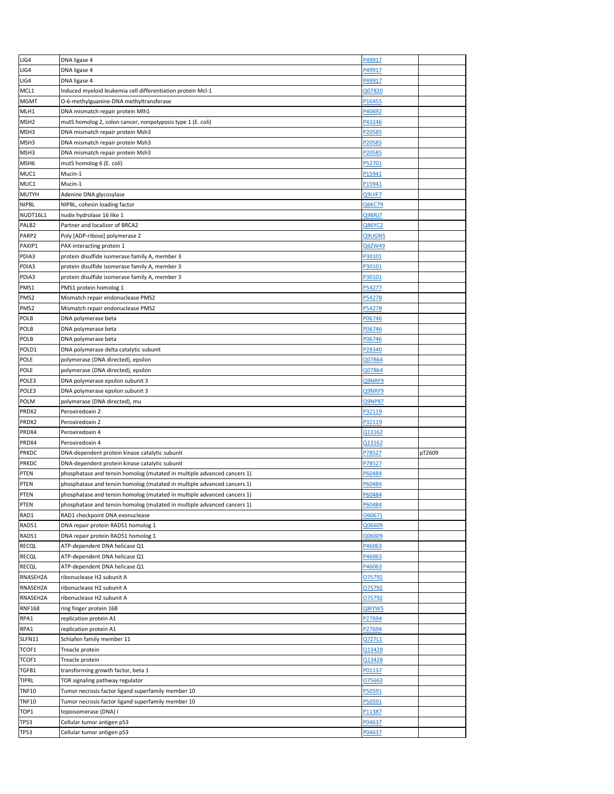| LIG4                       | DNA ligase 4                                                            | P49917           |        |
|----------------------------|-------------------------------------------------------------------------|------------------|--------|
| LIG4                       | DNA ligase 4                                                            | P49917           |        |
| LIG4                       | DNA ligase 4                                                            | P49917           |        |
| MCL1                       | Induced myeloid leukemia cell differentiation protein Mcl-1             | Q07820           |        |
| <b>MGMT</b>                | O-6-methylguanine-DNA methyltransferase                                 | P16455           |        |
| MLH1                       |                                                                         |                  |        |
|                            | DNA mismatch repair protein Mlh1                                        | P40692           |        |
| MSH <sub>2</sub>           | mutS homolog 2, colon cancer, nonpolyposis type 1 (E. coli)             | P43246           |        |
| MSH3                       | DNA mismatch repair protein Msh3                                        | P20585           |        |
| MSH3                       | DNA mismatch repair protein Msh3                                        | P20585           |        |
| MSH3                       | DNA mismatch repair protein Msh3                                        | P20585           |        |
| MSH <sub>6</sub>           | mutS homolog 6 (E. coli)                                                | P52701           |        |
| MUC1                       | Mucin-1                                                                 | P15941           |        |
| MUC1                       | Mucin-1                                                                 | P15941           |        |
| <b>MUTYH</b>               | Adenine DNA glycosylase                                                 | Q9UIF7           |        |
| <b>NIPBL</b>               | NIPBL, cohesin loading factor                                           | Q6KC79           |        |
| NUDT16L1                   | nudix hydrolase 16 like 1                                               | Q9BRJ7           |        |
| PALB <sub>2</sub>          | Partner and localizer of BRCA2                                          | <b>Q86YC2</b>    |        |
| PARP2                      | Poly [ADP-ribose] polymerase 2                                          | Q9UGN5           |        |
| PAXIP1                     | PAX-interacting protein 1                                               | Q6ZW49           |        |
| PDIA3                      | protein disulfide isomerase family A, member 3                          | P30101           |        |
|                            |                                                                         | P30101           |        |
| PDIA3                      | protein disulfide isomerase family A, member 3                          |                  |        |
| PDIA3                      | protein disulfide isomerase family A, member 3                          | P30101           |        |
| PMS1                       | PMS1 protein homolog 1                                                  | P54277           |        |
| PMS <sub>2</sub>           | Mismatch repair endonuclease PMS2                                       | P54278           |        |
| PMS <sub>2</sub>           | Mismatch repair endonuclease PMS2                                       | P54278           |        |
| POLB                       | DNA polymerase beta                                                     | P06746           |        |
| POLB                       | DNA polymerase beta                                                     | P06746           |        |
| POLB                       | DNA polymerase beta                                                     | P06746           |        |
| POLD1                      | DNA polymerase delta catalytic subunit                                  | P28340           |        |
| <b>POLE</b>                | polymerase (DNA directed), epsilon                                      | Q07864           |        |
| POLE                       | polymerase (DNA directed), epsilon                                      | Q07864           |        |
| POLE3                      | DNA polymerase epsilon subunit 3                                        | Q9NRF9           |        |
| POLE3                      | DNA polymerase epsilon subunit 3                                        | Q9NRF9           |        |
| POLM                       | polymerase (DNA directed), mu                                           | Q9NP87           |        |
|                            |                                                                         |                  |        |
|                            |                                                                         |                  |        |
| PRDX2                      | Peroxiredoxin 2                                                         | P32119           |        |
| PRDX2                      | Peroxiredoxin 2                                                         | P32119           |        |
| PRDX4                      | Peroxiredoxin 4                                                         | Q13162           |        |
| PRDX4                      | Peroxiredoxin 4                                                         | Q13162           |        |
| PRKDC                      | DNA-dependent protein kinase catalytic subunit                          | P78527           | pT2609 |
| PRKDC                      | DNA-dependent protein kinase catalytic subunit                          | P78527           |        |
| PTEN                       | phosphatase and tensin homolog (mutated in multiple advanced cancers 1) | P60484           |        |
| <b>PTEN</b>                | phosphatase and tensin homolog (mutated in multiple advanced cancers 1) | P60484           |        |
| PTEN                       | phosphatase and tensin homolog (mutated in multiple advanced cancers 1) | P60484           |        |
| PTEN                       | phosphatase and tensin homolog (mutated in multiple advanced cancers 1) | P60484           |        |
| RAD1                       | RAD1 checkpoint DNA exonuclease                                         | 060671           |        |
|                            |                                                                         |                  |        |
| RAD51                      | DNA repair protein RAD51 homolog 1                                      | Q06609           |        |
| RAD51                      | DNA repair protein RAD51 homolog 1                                      | Q06609           |        |
| RECQL                      | ATP-dependent DNA helicase Q1                                           | P46063           |        |
| RECQL                      | ATP-dependent DNA helicase Q1                                           | P46063           |        |
| RECQL                      | ATP-dependent DNA helicase Q1                                           | P46063           |        |
| RNASEH2A                   | ribonuclease H2 subunit A                                               | 075792           |        |
| RNASEH2A                   | ribonuclease H2 subunit A                                               | 075792           |        |
| RNASEH2A                   | ribonuclease H2 subunit A                                               | 075792           |        |
| <b>RNF168</b>              | ring finger protein 168                                                 | Q8IYW5           |        |
| RPA1                       | replication protein A1                                                  | P27694           |        |
| RPA1                       | replication protein A1                                                  | P27694           |        |
| SLFN11                     | Schlafen family member 11                                               | Q7Z7L1           |        |
| TCOF1                      | Treacle protein                                                         | Q13428           |        |
| TCOF1                      | Treacle protein                                                         | Q13428           |        |
| TGFB1                      | transforming growth factor, beta 1                                      | P01137           |        |
| <b>TIPRL</b>               | TOR signaling pathway regulator                                         | 075663           |        |
| <b>TNF10</b>               | Tumor necrosis factor ligand superfamily member 10                      | P50591           |        |
|                            |                                                                         |                  |        |
| <b>TNF10</b>               | Tumor necrosis factor ligand superfamily member 10                      | P50591           |        |
| TOP1                       | topoisomerase (DNA) I                                                   | P11387           |        |
| <b>TP53</b><br><b>TP53</b> | Cellular tumor antigen p53<br>Cellular tumor antigen p53                | P04637<br>P04637 |        |